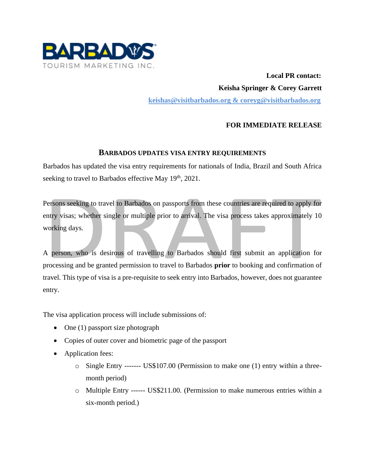

 **Local PR contact: Keisha Springer & Corey Garrett [keishas@visitbarbados.org](mailto:keishas@visitbarbados.org) & coreyg@visitbarbados.org**

## **FOR IMMEDIATE RELEASE**

## **BARBADOS UPDATES VISA ENTRY REQUIREMENTS**

Barbados has updated the visa entry requirements for nationals of India, Brazil and South Africa seeking to travel to Barbados effective May 19<sup>th</sup>, 2021.

Persons seeking to travel to Barbados on passports from these countries are required to apply for entry visas; whether single or multiple prior to arrival. The visa process takes approximately 10 working days.

A person, who is desirous of travelling to Barbados should first submit an application for processing and be granted permission to travel to Barbados **prior** to booking and confirmation of travel. This type of visa is a pre-requisite to seek entry into Barbados, however, does not guarantee entry.

The visa application process will include submissions of:

- One (1) passport size photograph
- Copies of outer cover and biometric page of the passport
- Application fees:
	- o Single Entry ------- US\$107.00 (Permission to make one (1) entry within a threemonth period)
	- o Multiple Entry ------ US\$211.00. (Permission to make numerous entries within a six-month period.)